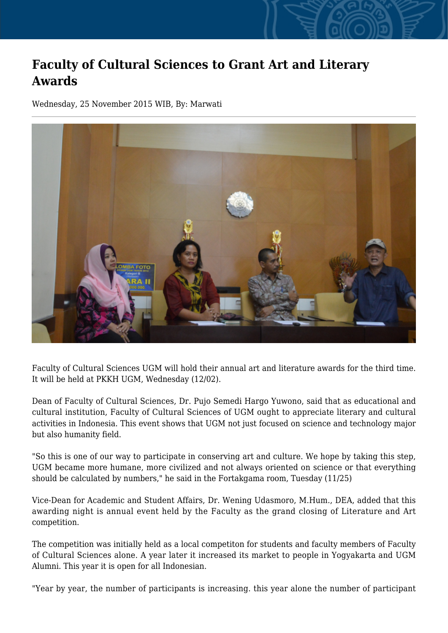## **Faculty of Cultural Sciences to Grant Art and Literary Awards**

Wednesday, 25 November 2015 WIB, By: Marwati



Faculty of Cultural Sciences UGM will hold their annual art and literature awards for the third time. It will be held at PKKH UGM, Wednesday (12/02).

Dean of Faculty of Cultural Sciences, Dr. Pujo Semedi Hargo Yuwono, said that as educational and cultural institution, Faculty of Cultural Sciences of UGM ought to appreciate literary and cultural activities in Indonesia. This event shows that UGM not just focused on science and technology major but also humanity field.

"So this is one of our way to participate in conserving art and culture. We hope by taking this step, UGM became more humane, more civilized and not always oriented on science or that everything should be calculated by numbers," he said in the Fortakgama room, Tuesday (11/25)

Vice-Dean for Academic and Student Affairs, Dr. Wening Udasmoro, M.Hum., DEA, added that this awarding night is annual event held by the Faculty as the grand closing of Literature and Art competition.

The competition was initially held as a local competiton for students and faculty members of Faculty of Cultural Sciences alone. A year later it increased its market to people in Yogyakarta and UGM Alumni. This year it is open for all Indonesian.

"Year by year, the number of participants is increasing. this year alone the number of participant